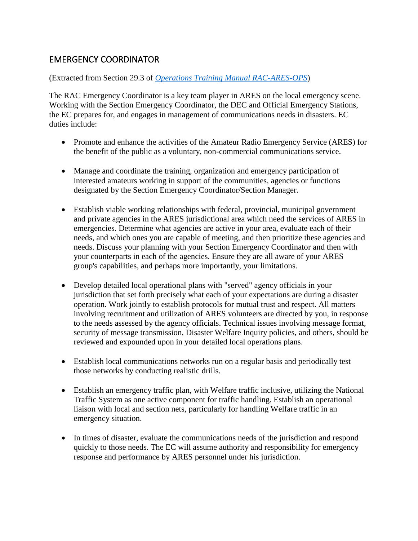## EMERGENCY COORDINATOR

## (Extracted from Section 29.3 of *[Operations Training Manual RAC-ARES-OPS](https://wp.rac.ca/ares-operations-training-manual/)*)

The RAC Emergency Coordinator is a key team player in ARES on the local emergency scene. Working with the Section Emergency Coordinator, the DEC and Official Emergency Stations, the EC prepares for, and engages in management of communications needs in disasters. EC duties include:

- Promote and enhance the activities of the Amateur Radio Emergency Service (ARES) for the benefit of the public as a voluntary, non-commercial communications service.
- Manage and coordinate the training, organization and emergency participation of interested amateurs working in support of the communities, agencies or functions designated by the Section Emergency Coordinator/Section Manager.
- Establish viable working relationships with federal, provincial, municipal government and private agencies in the ARES jurisdictional area which need the services of ARES in emergencies. Determine what agencies are active in your area, evaluate each of their needs, and which ones you are capable of meeting, and then prioritize these agencies and needs. Discuss your planning with your Section Emergency Coordinator and then with your counterparts in each of the agencies. Ensure they are all aware of your ARES group's capabilities, and perhaps more importantly, your limitations.
- Develop detailed local operational plans with "served" agency officials in your jurisdiction that set forth precisely what each of your expectations are during a disaster operation. Work jointly to establish protocols for mutual trust and respect. All matters involving recruitment and utilization of ARES volunteers are directed by you, in response to the needs assessed by the agency officials. Technical issues involving message format, security of message transmission, Disaster Welfare Inquiry policies, and others, should be reviewed and expounded upon in your detailed local operations plans.
- Establish local communications networks run on a regular basis and periodically test those networks by conducting realistic drills.
- Establish an emergency traffic plan, with Welfare traffic inclusive, utilizing the National Traffic System as one active component for traffic handling. Establish an operational liaison with local and section nets, particularly for handling Welfare traffic in an emergency situation.
- In times of disaster, evaluate the communications needs of the jurisdiction and respond quickly to those needs. The EC will assume authority and responsibility for emergency response and performance by ARES personnel under his jurisdiction.